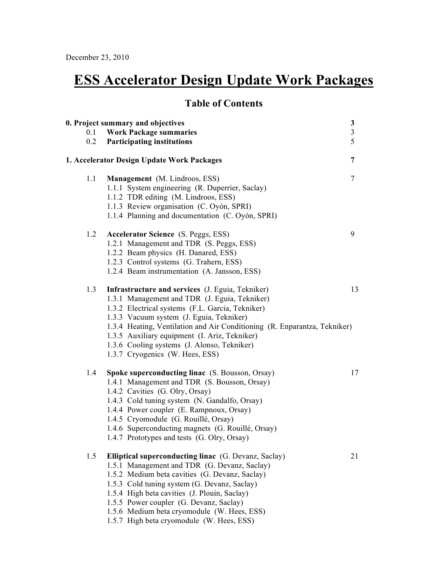# **ESS Accelerator Design Update Work Packages**

# **Table of Contents**

| 0. Project summary and objectives |                                                                           | $\frac{3}{3}$  |
|-----------------------------------|---------------------------------------------------------------------------|----------------|
| 0.1                               | <b>Work Package summaries</b>                                             |                |
| 0.2                               | <b>Participating institutions</b>                                         | $\overline{5}$ |
|                                   | 1. Accelerator Design Update Work Packages                                | $\overline{7}$ |
| 1.1                               | Management (M. Lindroos, ESS)                                             | $\overline{7}$ |
|                                   | 1.1.1 System engineering (R. Duperrier, Saclay)                           |                |
|                                   | 1.1.2 TDR editing (M. Lindroos, ESS)                                      |                |
|                                   | 1.1.3 Review organisation (C. Oyón, SPRI)                                 |                |
|                                   | 1.1.4 Planning and documentation (C. Oyón, SPRI)                          |                |
| 1.2                               | <b>Accelerator Science</b> (S. Peggs, ESS)                                | 9              |
|                                   | 1.2.1 Management and TDR (S. Peggs, ESS)                                  |                |
|                                   | 1.2.2 Beam physics (H. Danared, ESS)                                      |                |
|                                   | 1.2.3 Control systems (G. Trahern, ESS)                                   |                |
|                                   | 1.2.4 Beam instrumentation (A. Jansson, ESS)                              |                |
| 1.3                               | Infrastructure and services (J. Eguia, Tekniker)                          | 13             |
|                                   | 1.3.1 Management and TDR (J. Eguia, Tekniker)                             |                |
|                                   | 1.3.2 Electrical systems (F.L. Garcia, Tekniker)                          |                |
|                                   | 1.3.3 Vacuum system (J. Eguia, Tekniker)                                  |                |
|                                   | 1.3.4 Heating, Ventilation and Air Conditioning (R. Enparantza, Tekniker) |                |
|                                   | 1.3.5 Auxiliary equipment (I. Ariz, Tekniker)                             |                |
|                                   | 1.3.6 Cooling systems (J. Alonso, Tekniker)                               |                |
|                                   | 1.3.7 Cryogenics (W. Hees, ESS)                                           |                |
| 1.4                               | Spoke superconducting linac (S. Bousson, Orsay)                           | 17             |
|                                   | 1.4.1 Management and TDR (S. Bousson, Orsay)                              |                |
|                                   | 1.4.2 Cavities (G. Olry, Orsay)                                           |                |
|                                   | 1.4.3 Cold tuning system (N. Gandalfo, Orsay)                             |                |
|                                   | 1.4.4 Power coupler (E. Rampnoux, Orsay)                                  |                |
|                                   | 1.4.5 Cryomodule (G. Rouillé, Orsay)                                      |                |
|                                   | 1.4.6 Superconducting magnets (G. Rouillé, Orsay)                         |                |
|                                   | 1.4.7 Prototypes and tests (G. Olry, Orsay)                               |                |
| 1.5                               | <b>Elliptical superconducting linac</b> (G. Devanz, Saclay)               | 21             |
|                                   | 1.5.1 Management and TDR (G. Devanz, Saclay)                              |                |
|                                   | 1.5.2 Medium beta cavities (G. Devanz, Saclay)                            |                |
|                                   | 1.5.3 Cold tuning system (G. Devanz, Saclay)                              |                |
|                                   | 1.5.4 High beta cavities (J. Plouin, Saclay)                              |                |
|                                   | 1.5.5 Power coupler (G. Devanz, Saclay)                                   |                |
|                                   | 1.5.6 Medium beta cryomodule (W. Hees, ESS)                               |                |
|                                   | 1.5.7 High beta cryomodule (W. Hees, ESS)                                 |                |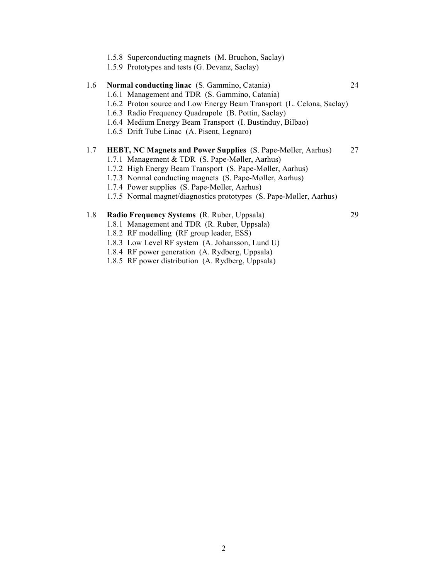- 1.5.8 Superconducting magnets (M. Bruchon, Saclay)
- 1.5.9 Prototypes and tests (G. Devanz, Saclay)

# 1.6 **Normal conducting linac** (S. Gammino, Catania) 24 1.6.1 Management and TDR (S. Gammino, Catania) 1.6.2 Proton source and Low Energy Beam Transport (L. Celona, Saclay) 1.6.3 Radio Frequency Quadrupole (B. Pottin, Saclay) 1.6.4 Medium Energy Beam Transport (I. Bustinduy, Bilbao) 1.6.5 Drift Tube Linac (A. Pisent, Legnaro) 1.7 **HEBT, NC Magnets and Power Supplies** (S. Pape-Møller, Aarhus) 27 1.7.1 Management & TDR (S. Pape-Møller, Aarhus) 1.7.2 High Energy Beam Transport (S. Pape-Møller, Aarhus) 1.7.3 Normal conducting magnets (S. Pape-Møller, Aarhus) 1.7.4 Power supplies (S. Pape-Møller, Aarhus)

1.7.5 Normal magnet/diagnostics prototypes (S. Pape-Møller, Aarhus)

### 1.8 **Radio Frequency Systems** (R. Ruber, Uppsala) 29

- 1.8.1 Management and TDR (R. Ruber, Uppsala)
- 1.8.2 RF modelling (RF group leader, ESS)
- 1.8.3 Low Level RF system (A. Johansson, Lund U)
- 1.8.4 RF power generation (A. Rydberg, Uppsala)
- 1.8.5 RF power distribution (A. Rydberg, Uppsala)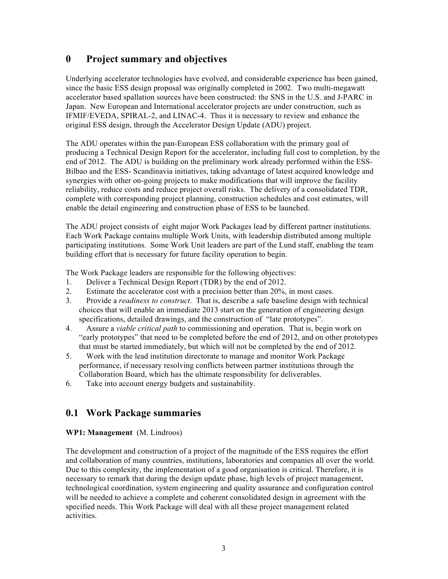# **0 Project summary and objectives**

Underlying accelerator technologies have evolved, and considerable experience has been gained, since the basic ESS design proposal was originally completed in 2002. Two multi-megawatt accelerator based spallation sources have been constructed: the SNS in the U.S. and J-PARC in Japan. New European and International accelerator projects are under construction, such as IFMIF/EVEDA, SPIRAL-2, and LINAC-4. Thus it is necessary to review and enhance the original ESS design, through the Accelerator Design Update (ADU) project.

The ADU operates within the pan-European ESS collaboration with the primary goal of producing a Technical Design Report for the accelerator, including full cost to completion, by the end of 2012. The ADU is building on the preliminary work already performed within the ESS-Bilbao and the ESS- Scandinavia initiatives, taking advantage of latest acquired knowledge and synergies with other on-going projects to make modifications that will improve the facility reliability, reduce costs and reduce project overall risks. The delivery of a consolidated TDR, complete with corresponding project planning, construction schedules and cost estimates, will enable the detail engineering and construction phase of ESS to be launched.

The ADU project consists of eight major Work Packages lead by different partner institutions. Each Work Package contains multiple Work Units, with leadership distributed among multiple participating institutions. Some Work Unit leaders are part of the Lund staff, enabling the team building effort that is necessary for future facility operation to begin.

The Work Package leaders are responsible for the following objectives:

- 1. Deliver a Technical Design Report (TDR) by the end of 2012.
- 2. Estimate the accelerator cost with a precision better than 20%, in most cases.
- 3. Provide a *readiness to construct*. That is, describe a safe baseline design with technical choices that will enable an immediate 2013 start on the generation of engineering design specifications, detailed drawings, and the construction of "late prototypes".
- 4. Assure a *viable critical path* to commissioning and operation. That is, begin work on "early prototypes" that need to be completed before the end of 2012, and on other prototypes that must be started immediately, but which will not be completed by the end of 2012.
- 5. Work with the lead institution directorate to manage and monitor Work Package performance, if necessary resolving conflicts between partner institutions through the Collaboration Board, which has the ultimate responsibility for deliverables.
- 6. Take into account energy budgets and sustainability.

# **0.1 Work Package summaries**

#### **WP1: Management** (M. Lindroos)

The development and construction of a project of the magnitude of the ESS requires the effort and collaboration of many countries, institutions, laboratories and companies all over the world. Due to this complexity, the implementation of a good organisation is critical. Therefore, it is necessary to remark that during the design update phase, high levels of project management, technological coordination, system engineering and quality assurance and configuration control will be needed to achieve a complete and coherent consolidated design in agreement with the specified needs. This Work Package will deal with all these project management related activities.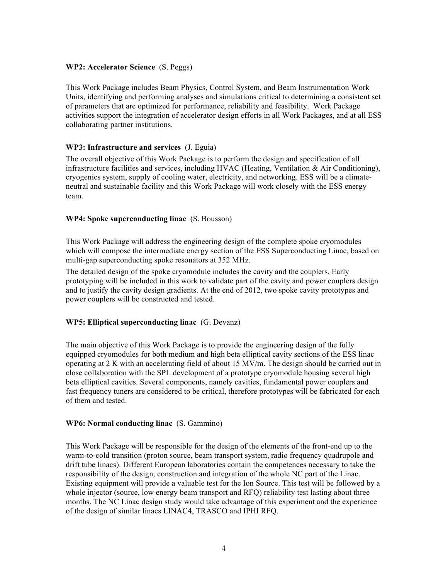#### **WP2: Accelerator Science** (S. Peggs)

This Work Package includes Beam Physics, Control System, and Beam Instrumentation Work Units, identifying and performing analyses and simulations critical to determining a consistent set of parameters that are optimized for performance, reliability and feasibility. Work Package activities support the integration of accelerator design efforts in all Work Packages, and at all ESS collaborating partner institutions.

### **WP3: Infrastructure and services** (J. Eguia)

The overall objective of this Work Package is to perform the design and specification of all infrastructure facilities and services, including HVAC (Heating, Ventilation & Air Conditioning), cryogenics system, supply of cooling water, electricity, and networking. ESS will be a climateneutral and sustainable facility and this Work Package will work closely with the ESS energy team.

#### **WP4: Spoke superconducting linac** (S. Bousson)

This Work Package will address the engineering design of the complete spoke cryomodules which will compose the intermediate energy section of the ESS Superconducting Linac, based on multi-gap superconducting spoke resonators at 352 MHz.

The detailed design of the spoke cryomodule includes the cavity and the couplers. Early prototyping will be included in this work to validate part of the cavity and power couplers design and to justify the cavity design gradients. At the end of 2012, two spoke cavity prototypes and power couplers will be constructed and tested.

# **WP5: Elliptical superconducting linac** (G. Devanz)

The main objective of this Work Package is to provide the engineering design of the fully equipped cryomodules for both medium and high beta elliptical cavity sections of the ESS linac operating at 2 K with an accelerating field of about 15 MV/m. The design should be carried out in close collaboration with the SPL development of a prototype cryomodule housing several high beta elliptical cavities. Several components, namely cavities, fundamental power couplers and fast frequency tuners are considered to be critical, therefore prototypes will be fabricated for each of them and tested.

#### **WP6: Normal conducting linac** (S. Gammino)

This Work Package will be responsible for the design of the elements of the front-end up to the warm-to-cold transition (proton source, beam transport system, radio frequency quadrupole and drift tube linacs). Different European laboratories contain the competences necessary to take the responsibility of the design, construction and integration of the whole NC part of the Linac. Existing equipment will provide a valuable test for the Ion Source. This test will be followed by a whole injector (source, low energy beam transport and RFQ) reliability test lasting about three months. The NC Linac design study would take advantage of this experiment and the experience of the design of similar linacs LINAC4, TRASCO and IPHI RFQ.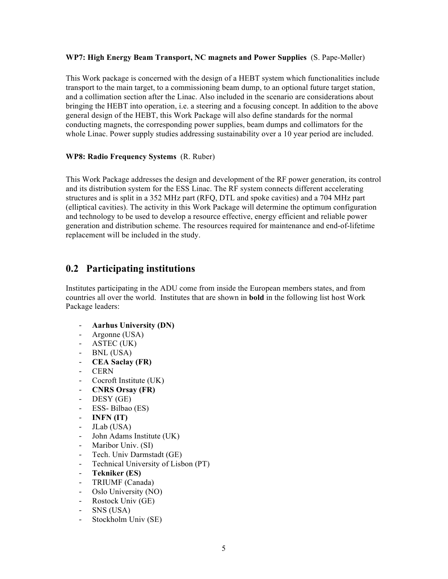#### **WP7: High Energy Beam Transport, NC magnets and Power Supplies** (S. Pape-Møller)

This Work package is concerned with the design of a HEBT system which functionalities include transport to the main target, to a commissioning beam dump, to an optional future target station, and a collimation section after the Linac. Also included in the scenario are considerations about bringing the HEBT into operation, i.e. a steering and a focusing concept. In addition to the above general design of the HEBT, this Work Package will also define standards for the normal conducting magnets, the corresponding power supplies, beam dumps and collimators for the whole Linac. Power supply studies addressing sustainability over a 10 year period are included.

#### **WP8: Radio Frequency Systems** (R. Ruber)

This Work Package addresses the design and development of the RF power generation, its control and its distribution system for the ESS Linac. The RF system connects different accelerating structures and is split in a 352 MHz part (RFQ, DTL and spoke cavities) and a 704 MHz part (elliptical cavities). The activity in this Work Package will determine the optimum configuration and technology to be used to develop a resource effective, energy efficient and reliable power generation and distribution scheme. The resources required for maintenance and end-of-lifetime replacement will be included in the study.

# **0.2 Participating institutions**

Institutes participating in the ADU come from inside the European members states, and from countries all over the world. Institutes that are shown in **bold** in the following list host Work Package leaders:

- **Aarhus University (DN)**
- Argonne (USA)
- ASTEC (UK)
- BNL (USA)
- **CEA Saclay (FR)**
- CERN
- Cocroft Institute (UK)
- **CNRS Orsay (FR)**
- DESY (GE)
- ESS- Bilbao (ES)
- **INFN (IT)**
- JLab (USA)
- John Adams Institute (UK)
- Maribor Univ. (SI)
- Tech. Univ Darmstadt (GE)
- Technical University of Lisbon (PT)
- **Tekniker (ES)**
- TRIUMF (Canada)
- Oslo University (NO)
- Rostock Univ (GE)
- SNS (USA)
- Stockholm Univ (SE)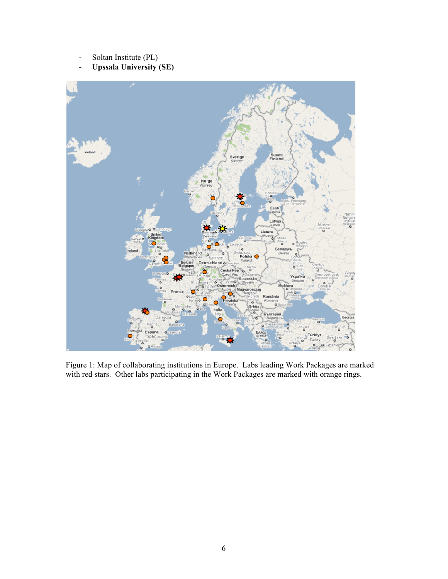- Soltan Institute (PL)
- **Upssala University (SE)**



Figure 1: Map of collaborating institutions in Europe. Labs leading Work Packages are marked with red stars. Other labs participating in the Work Packages are marked with orange rings.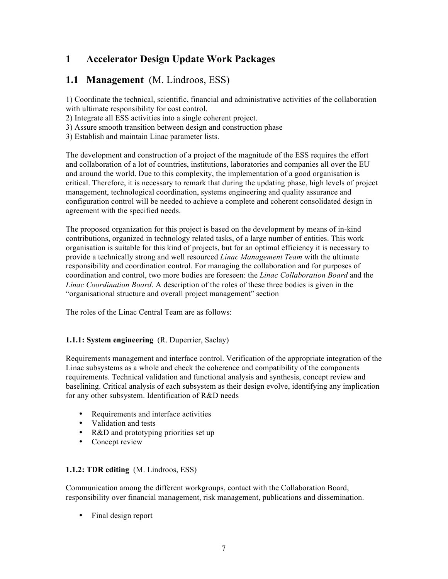# **1 Accelerator Design Update Work Packages**

# **1.1 Management** (M. Lindroos, ESS)

1) Coordinate the technical, scientific, financial and administrative activities of the collaboration with ultimate responsibility for cost control.

2) Integrate all ESS activities into a single coherent project.

- 3) Assure smooth transition between design and construction phase
- 3) Establish and maintain Linac parameter lists.

The development and construction of a project of the magnitude of the ESS requires the effort and collaboration of a lot of countries, institutions, laboratories and companies all over the EU and around the world. Due to this complexity, the implementation of a good organisation is critical. Therefore, it is necessary to remark that during the updating phase, high levels of project management, technological coordination, systems engineering and quality assurance and configuration control will be needed to achieve a complete and coherent consolidated design in agreement with the specified needs.

The proposed organization for this project is based on the development by means of in-kind contributions, organized in technology related tasks, of a large number of entities. This work organisation is suitable for this kind of projects, but for an optimal efficiency it is necessary to provide a technically strong and well resourced *Linac Management Team* with the ultimate responsibility and coordination control. For managing the collaboration and for purposes of coordination and control, two more bodies are foreseen: the *Linac Collaboration Board* and the *Linac Coordination Board*. A description of the roles of these three bodies is given in the "organisational structure and overall project management" section

The roles of the Linac Central Team are as follows:

# **1.1.1: System engineering** (R. Duperrier, Saclay)

Requirements management and interface control. Verification of the appropriate integration of the Linac subsystems as a whole and check the coherence and compatibility of the components requirements. Technical validation and functional analysis and synthesis, concept review and baselining. Critical analysis of each subsystem as their design evolve, identifying any implication for any other subsystem. Identification of R&D needs

- Requirements and interface activities
- Validation and tests
- R&D and prototyping priorities set up
- Concept review

#### **1.1.2: TDR editing** (M. Lindroos, ESS)

Communication among the different workgroups, contact with the Collaboration Board, responsibility over financial management, risk management, publications and dissemination.

• Final design report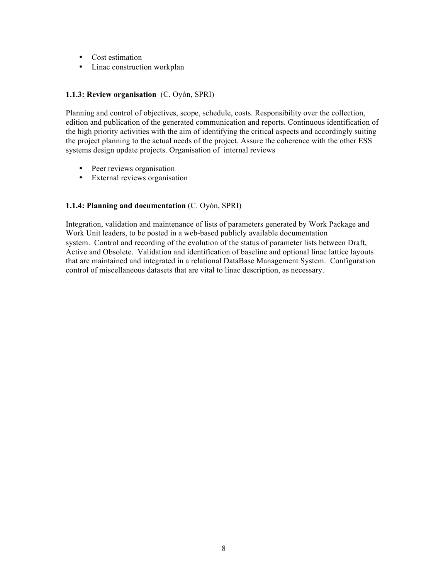- Cost estimation
- Linac construction workplan

### **1.1.3: Review organisation** (C. Oyón, SPRI)

Planning and control of objectives, scope, schedule, costs. Responsibility over the collection, edition and publication of the generated communication and reports. Continuous identification of the high priority activities with the aim of identifying the critical aspects and accordingly suiting the project planning to the actual needs of the project. Assure the coherence with the other ESS systems design update projects. Organisation of internal reviews

- Peer reviews organisation
- External reviews organisation

### **1.1.4: Planning and documentation** (C. Oyón, SPRI)

Integration, validation and maintenance of lists of parameters generated by Work Package and Work Unit leaders, to be posted in a web-based publicly available documentation system. Control and recording of the evolution of the status of parameter lists between Draft, Active and Obsolete. Validation and identification of baseline and optional linac lattice layouts that are maintained and integrated in a relational DataBase Management System. Configuration control of miscellaneous datasets that are vital to linac description, as necessary.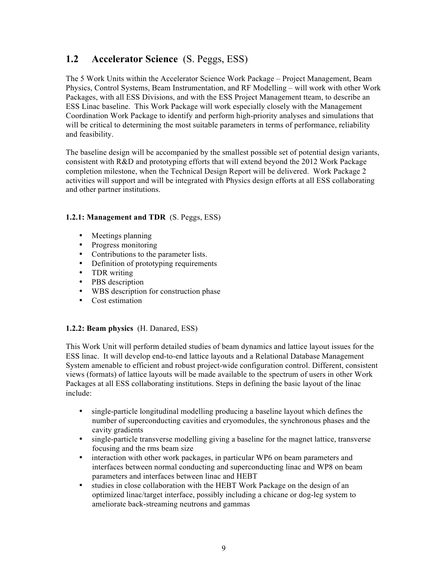# **1.2 Accelerator Science** (S. Peggs, ESS)

The 5 Work Units within the Accelerator Science Work Package – Project Management, Beam Physics, Control Systems, Beam Instrumentation, and RF Modelling – will work with other Work Packages, with all ESS Divisions, and with the ESS Project Management tteam, to describe an ESS Linac baseline. This Work Package will work especially closely with the Management Coordination Work Package to identify and perform high-priority analyses and simulations that will be critical to determining the most suitable parameters in terms of performance, reliability and feasibility.

The baseline design will be accompanied by the smallest possible set of potential design variants, consistent with R&D and prototyping efforts that will extend beyond the 2012 Work Package completion milestone, when the Technical Design Report will be delivered. Work Package 2 activities will support and will be integrated with Physics design efforts at all ESS collaborating and other partner institutions.

# **1.2.1: Management and TDR** (S. Peggs, ESS)

- Meetings planning
- Progress monitoring
- Contributions to the parameter lists.
- Definition of prototyping requirements
- TDR writing
- PBS description
- WBS description for construction phase
- Cost estimation

#### **1.2.2: Beam physics** (H. Danared, ESS)

This Work Unit will perform detailed studies of beam dynamics and lattice layout issues for the ESS linac. It will develop end-to-end lattice layouts and a Relational Database Management System amenable to efficient and robust project-wide configuration control. Different, consistent views (formats) of lattice layouts will be made available to the spectrum of users in other Work Packages at all ESS collaborating institutions. Steps in defining the basic layout of the linac include:

- single-particle longitudinal modelling producing a baseline layout which defines the number of superconducting cavities and cryomodules, the synchronous phases and the cavity gradients
- single-particle transverse modelling giving a baseline for the magnet lattice, transverse focusing and the rms beam size
- interaction with other work packages, in particular WP6 on beam parameters and interfaces between normal conducting and superconducting linac and WP8 on beam parameters and interfaces between linac and HEBT
- studies in close collaboration with the HEBT Work Package on the design of an optimized linac/target interface, possibly including a chicane or dog-leg system to ameliorate back-streaming neutrons and gammas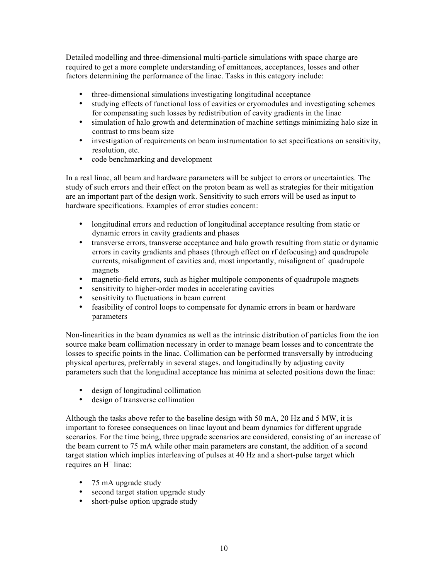Detailed modelling and three-dimensional multi-particle simulations with space charge are required to get a more complete understanding of emittances, acceptances, losses and other factors determining the performance of the linac. Tasks in this category include:

- three-dimensional simulations investigating longitudinal acceptance
- studying effects of functional loss of cavities or cryomodules and investigating schemes for compensating such losses by redistribution of cavity gradients in the linac
- simulation of halo growth and determination of machine settings minimizing halo size in contrast to rms beam size
- investigation of requirements on beam instrumentation to set specifications on sensitivity, resolution, etc.
- code benchmarking and development

In a real linac, all beam and hardware parameters will be subject to errors or uncertainties. The study of such errors and their effect on the proton beam as well as strategies for their mitigation are an important part of the design work. Sensitivity to such errors will be used as input to hardware specifications. Examples of error studies concern:

- longitudinal errors and reduction of longitudinal acceptance resulting from static or dynamic errors in cavity gradients and phases
- transverse errors, transverse acceptance and halo growth resulting from static or dynamic errors in cavity gradients and phases (through effect on rf defocusing) and quadrupole currents, misalignment of cavities and, most importantly, misalignent of quadrupole magnets
- magnetic-field errors, such as higher multipole components of quadrupole magnets
- sensitivity to higher-order modes in accelerating cavities
- sensitivity to fluctuations in beam current
- feasibility of control loops to compensate for dynamic errors in beam or hardware parameters

Non-linearities in the beam dynamics as well as the intrinsic distribution of particles from the ion source make beam collimation necessary in order to manage beam losses and to concentrate the losses to specific points in the linac. Collimation can be performed transversally by introducing physical apertures, preferrably in several stages, and longitudinally by adjusting cavity parameters such that the longudinal acceptance has minima at selected positions down the linac:

- design of longitudinal collimation
- design of transverse collimation

Although the tasks above refer to the baseline design with 50 mA, 20 Hz and 5 MW, it is important to foresee consequences on linac layout and beam dynamics for different upgrade scenarios. For the time being, three upgrade scenarios are considered, consisting of an increase of the beam current to 75 mA while other main parameters are constant, the addition of a second target station which implies interleaving of pulses at 40 Hz and a short-pulse target which requires an H– linac:

- 75 mA upgrade study
- second target station upgrade study
- short-pulse option upgrade study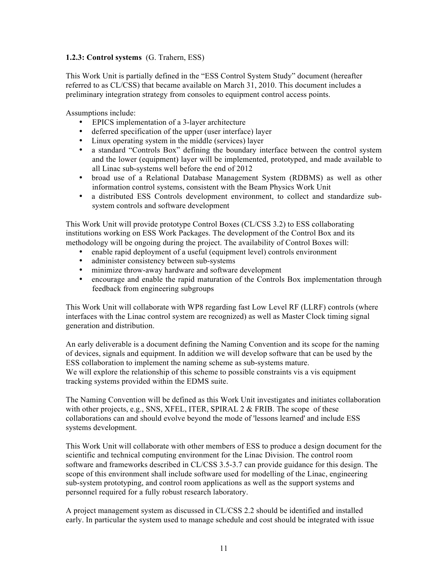### **1.2.3: Control systems** (G. Trahern, ESS)

This Work Unit is partially defined in the "ESS Control System Study" document (hereafter referred to as CL/CSS) that became available on March 31, 2010. This document includes a preliminary integration strategy from consoles to equipment control access points.

Assumptions include:

- EPICS implementation of a 3-layer architecture
- deferred specification of the upper (user interface) layer
- Linux operating system in the middle (services) layer
- a standard "Controls Box" defining the boundary interface between the control system and the lower (equipment) layer will be implemented, prototyped, and made available to all Linac sub-systems well before the end of 2012
- broad use of a Relational Database Management System (RDBMS) as well as other information control systems, consistent with the Beam Physics Work Unit
- a distributed ESS Controls development environment, to collect and standardize subsystem controls and software development

This Work Unit will provide prototype Control Boxes (CL/CSS 3.2) to ESS collaborating institutions working on ESS Work Packages. The development of the Control Box and its methodology will be ongoing during the project. The availability of Control Boxes will:

- enable rapid deployment of a useful (equipment level) controls environment
- administer consistency between sub-systems
- minimize throw-away hardware and software development
- encourage and enable the rapid maturation of the Controls Box implementation through feedback from engineering subgroups

This Work Unit will collaborate with WP8 regarding fast Low Level RF (LLRF) controls (where interfaces with the Linac control system are recognized) as well as Master Clock timing signal generation and distribution.

An early deliverable is a document defining the Naming Convention and its scope for the naming of devices, signals and equipment. In addition we will develop software that can be used by the ESS collaboration to implement the naming scheme as sub-systems mature. We will explore the relationship of this scheme to possible constraints vis a vis equipment tracking systems provided within the EDMS suite.

The Naming Convention will be defined as this Work Unit investigates and initiates collaboration with other projects, e.g., SNS, XFEL, ITER, SPIRAL 2  $&$  FRIB. The scope of these collaborations can and should evolve beyond the mode of 'lessons learned' and include ESS systems development.

This Work Unit will collaborate with other members of ESS to produce a design document for the scientific and technical computing environment for the Linac Division. The control room software and frameworks described in CL/CSS 3.5-3.7 can provide guidance for this design. The scope of this environment shall include software used for modelling of the Linac, engineering sub-system prototyping, and control room applications as well as the support systems and personnel required for a fully robust research laboratory.

A project management system as discussed in CL/CSS 2.2 should be identified and installed early. In particular the system used to manage schedule and cost should be integrated with issue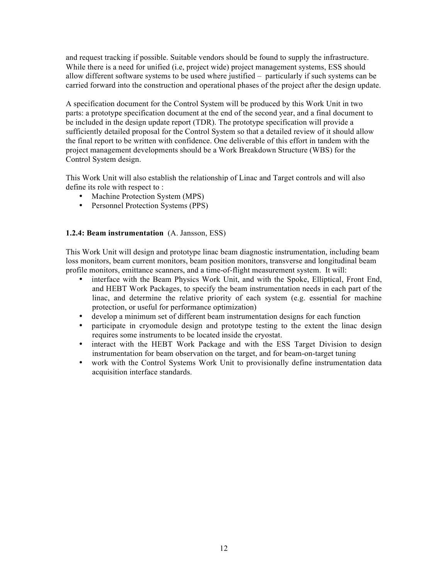and request tracking if possible. Suitable vendors should be found to supply the infrastructure. While there is a need for unified (i.e, project wide) project management systems, ESS should allow different software systems to be used where justified – particularly if such systems can be carried forward into the construction and operational phases of the project after the design update.

A specification document for the Control System will be produced by this Work Unit in two parts: a prototype specification document at the end of the second year, and a final document to be included in the design update report (TDR). The prototype specification will provide a sufficiently detailed proposal for the Control System so that a detailed review of it should allow the final report to be written with confidence. One deliverable of this effort in tandem with the project management developments should be a Work Breakdown Structure (WBS) for the Control System design.

This Work Unit will also establish the relationship of Linac and Target controls and will also define its role with respect to :

- Machine Protection System (MPS)
- Personnel Protection Systems (PPS)

#### **1.2.4: Beam instrumentation** (A. Jansson, ESS)

This Work Unit will design and prototype linac beam diagnostic instrumentation, including beam loss monitors, beam current monitors, beam position monitors, transverse and longitudinal beam profile monitors, emittance scanners, and a time-of-flight measurement system. It will:

- interface with the Beam Physics Work Unit, and with the Spoke, Elliptical, Front End, and HEBT Work Packages, to specify the beam instrumentation needs in each part of the linac, and determine the relative priority of each system (e.g. essential for machine protection, or useful for performance optimization)
- develop a minimum set of different beam instrumentation designs for each function
- participate in cryomodule design and prototype testing to the extent the linac design requires some instruments to be located inside the cryostat.
- interact with the HEBT Work Package and with the ESS Target Division to design instrumentation for beam observation on the target, and for beam-on-target tuning
- work with the Control Systems Work Unit to provisionally define instrumentation data acquisition interface standards.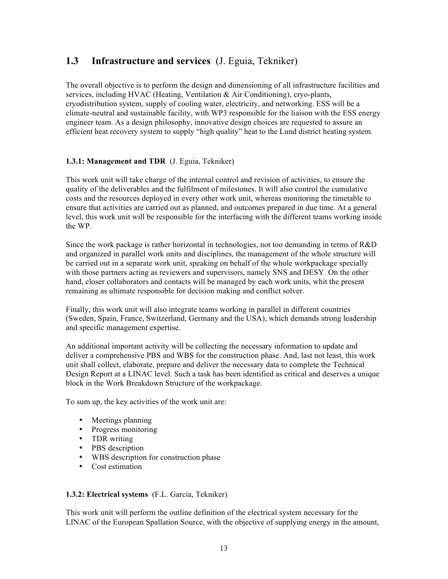# **1.3 Infrastructure and services** (J. Eguia, Tekniker)

The overall objective is to perform the design and dimensioning of all infrastructure facilities and services, including HVAC (Heating, Ventilation & Air Conditioning), cryo-plants, cryodistribution system, supply of cooling water, electricity, and networking. ESS will be a climate-neutral and sustainable facility, with WP3 responsible for the liaison with the ESS energy engineer team. As a design philosophy, innovative design choices are requested to assure an efficient heat recovery system to supply "high quality" heat to the Lund district heating system.

# **1.3.1: Management and TDR** (J. Eguia, Tekniker)

This work unit will take charge of the internal control and revision of activities, to ensure the quality of the deliverables and the fulfilment of milestones. It will also control the cumulative costs and the resources deployed in every other work unit, whereas monitoring the timetable to ensure that activities are carried out as planned, and outcomes prepared in due time. At a general level, this work unit will be responsible for the interfacing with the different teams working inside the WP.

Since the work package is rather horizontal in technologies, not too demanding in terms of R&D and organized in parallel work units and disciplines, the management of the whole structure will be carried out in a separate work unit, speaking on behalf of the whole workpackage specially with those partners acting as reviewers and supervisors, namely SNS and DESY. On the other hand, closer collaborators and contacts will be managed by each work units, whit the present remaining as ultimate responsible for decision making and conflict solver.

Finally, this work unit will also integrate teams working in parallel in different countries (Sweden, Spain, France, Switzerland, Germany and the USA), which demands strong leadership and specific management expertise.

An additional important activity will be collecting the necessary information to update and deliver a comprehensive PBS and WBS for the construction phase. And, last not least, this work unit shall collect, elaborate, prepare and deliver the necessary data to complete the Technical Design Report at a LINAC level. Such a task has been identified as critical and deserves a unique block in the Work Breakdown Structure of the workpackage.

To sum up, the key activities of the work unit are:

- Meetings planning
- Progress monitoring
- TDR writing
- PBS description
- WBS description for construction phase
- Cost estimation

# **1.3.2: Electrical systems** (F.L. Garcia, Tekniker)

This work unit will perform the outline definition of the electrical system necessary for the LINAC of the European Spallation Source, with the objective of supplying energy in the amount,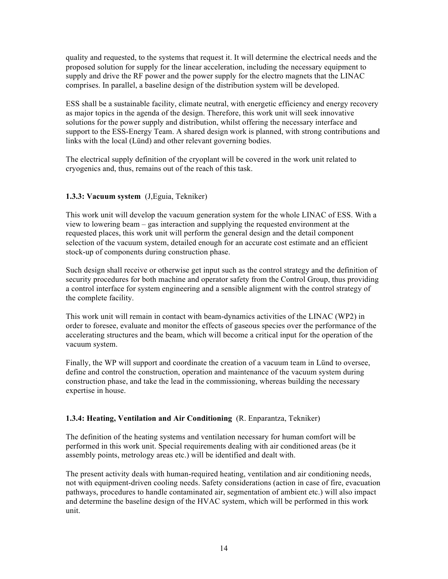quality and requested, to the systems that request it. It will determine the electrical needs and the proposed solution for supply for the linear acceleration, including the necessary equipment to supply and drive the RF power and the power supply for the electro magnets that the LINAC comprises. In parallel, a baseline design of the distribution system will be developed.

ESS shall be a sustainable facility, climate neutral, with energetic efficiency and energy recovery as major topics in the agenda of the design. Therefore, this work unit will seek innovative solutions for the power supply and distribution, whilst offering the necessary interface and support to the ESS-Energy Team. A shared design work is planned, with strong contributions and links with the local (Lünd) and other relevant governing bodies.

The electrical supply definition of the cryoplant will be covered in the work unit related to cryogenics and, thus, remains out of the reach of this task.

### **1.3.3: Vacuum system** (J,Eguia, Tekniker)

This work unit will develop the vacuum generation system for the whole LINAC of ESS. With a view to lowering beam – gas interaction and supplying the requested environment at the requested places, this work unit will perform the general design and the detail component selection of the vacuum system, detailed enough for an accurate cost estimate and an efficient stock-up of components during construction phase.

Such design shall receive or otherwise get input such as the control strategy and the definition of security procedures for both machine and operator safety from the Control Group, thus providing a control interface for system engineering and a sensible alignment with the control strategy of the complete facility.

This work unit will remain in contact with beam-dynamics activities of the LINAC (WP2) in order to foresee, evaluate and monitor the effects of gaseous species over the performance of the accelerating structures and the beam, which will become a critical input for the operation of the vacuum system.

Finally, the WP will support and coordinate the creation of a vacuum team in Lünd to oversee, define and control the construction, operation and maintenance of the vacuum system during construction phase, and take the lead in the commissioning, whereas building the necessary expertise in house.

# **1.3.4: Heating, Ventilation and Air Conditioning** (R. Enparantza, Tekniker)

The definition of the heating systems and ventilation necessary for human comfort will be performed in this work unit. Special requirements dealing with air conditioned areas (be it assembly points, metrology areas etc.) will be identified and dealt with.

The present activity deals with human-required heating, ventilation and air conditioning needs, not with equipment-driven cooling needs. Safety considerations (action in case of fire, evacuation pathways, procedures to handle contaminated air, segmentation of ambient etc.) will also impact and determine the baseline design of the HVAC system, which will be performed in this work unit.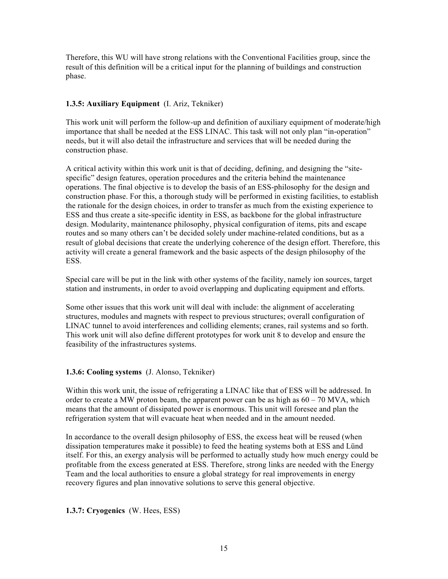Therefore, this WU will have strong relations with the Conventional Facilities group, since the result of this definition will be a critical input for the planning of buildings and construction phase.

#### **1.3.5: Auxiliary Equipment** (I. Ariz, Tekniker)

This work unit will perform the follow-up and definition of auxiliary equipment of moderate/high importance that shall be needed at the ESS LINAC. This task will not only plan "in-operation" needs, but it will also detail the infrastructure and services that will be needed during the construction phase.

A critical activity within this work unit is that of deciding, defining, and designing the "sitespecific" design features, operation procedures and the criteria behind the maintenance operations. The final objective is to develop the basis of an ESS-philosophy for the design and construction phase. For this, a thorough study will be performed in existing facilities, to establish the rationale for the design choices, in order to transfer as much from the existing experience to ESS and thus create a site-specific identity in ESS, as backbone for the global infrastructure design. Modularity, maintenance philosophy, physical configuration of items, pits and escape routes and so many others can't be decided solely under machine-related conditions, but as a result of global decisions that create the underlying coherence of the design effort. Therefore, this activity will create a general framework and the basic aspects of the design philosophy of the ESS.

Special care will be put in the link with other systems of the facility, namely ion sources, target station and instruments, in order to avoid overlapping and duplicating equipment and efforts.

Some other issues that this work unit will deal with include: the alignment of accelerating structures, modules and magnets with respect to previous structures; overall configuration of LINAC tunnel to avoid interferences and colliding elements; cranes, rail systems and so forth. This work unit will also define different prototypes for work unit 8 to develop and ensure the feasibility of the infrastructures systems.

#### **1.3.6: Cooling systems** (J. Alonso, Tekniker)

Within this work unit, the issue of refrigerating a LINAC like that of ESS will be addressed. In order to create a MW proton beam, the apparent power can be as high as  $60 - 70$  MVA, which means that the amount of dissipated power is enormous. This unit will foresee and plan the refrigeration system that will evacuate heat when needed and in the amount needed.

In accordance to the overall design philosophy of ESS, the excess heat will be reused (when dissipation temperatures make it possible) to feed the heating systems both at ESS and Lünd itself. For this, an exergy analysis will be performed to actually study how much energy could be profitable from the excess generated at ESS. Therefore, strong links are needed with the Energy Team and the local authorities to ensure a global strategy for real improvements in energy recovery figures and plan innovative solutions to serve this general objective.

**1.3.7: Cryogenics** (W. Hees, ESS)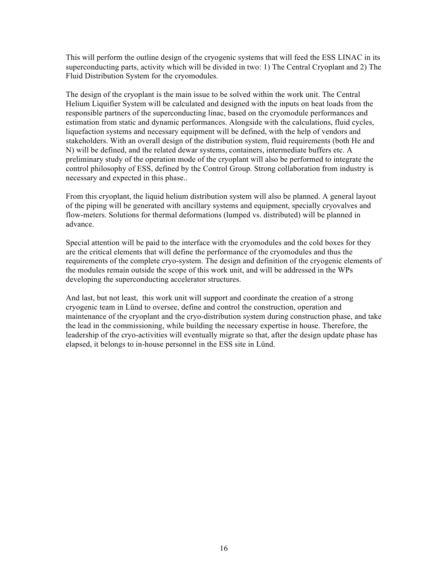This will perform the outline design of the cryogenic systems that will feed the ESS LINAC in its superconducting parts, activity which will be divided in two: 1) The Central Cryoplant and 2) The Fluid Distribution System for the cryomodules.

The design of the cryoplant is the main issue to be solved within the work unit. The Central Helium Liquifier System will be calculated and designed with the inputs on heat loads from the responsible partners of the superconducting linac, based on the cryomodule performances and estimation from static and dynamic performances. Alongside with the calculations, fluid cycles, liquefaction systems and necessary equipment will be defined, with the help of vendors and stakeholders. With an overall design of the distribution system, fluid requirements (both He and N) will be defined, and the related dewar systems, containers, intermediate buffers etc. A preliminary study of the operation mode of the cryoplant will also be performed to integrate the control philosophy of ESS, defined by the Control Group. Strong collaboration from industry is necessary and expected in this phase..

From this cryoplant, the liquid helium distribution system will also be planned. A general layout of the piping will be generated with ancillary systems and equipment, specially cryovalves and flow-meters. Solutions for thermal deformations (lumped vs. distributed) will be planned in advance.

Special attention will be paid to the interface with the cryomodules and the cold boxes for they are the critical elements that will define the performance of the cryomodules and thus the requirements of the complete cryo-system. The design and definition of the cryogenic elements of the modules remain outside the scope of this work unit, and will be addressed in the WPs developing the superconducting accelerator structures.

And last, but not least, this work unit will support and coordinate the creation of a strong cryogenic team in Lünd to oversee, define and control the construction, operation and maintenance of the cryoplant and the cryo-distribution system during construction phase, and take the lead in the commissioning, while building the necessary expertise in house. Therefore, the leadership of the cryo-activities will eventually migrate so that, after the design update phase has elapsed, it belongs to in-house personnel in the ESS site in Lünd.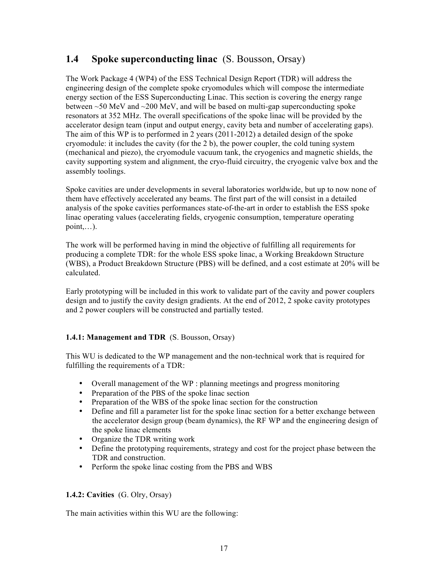# **1.4 Spoke superconducting linac** (S. Bousson, Orsay)

The Work Package 4 (WP4) of the ESS Technical Design Report (TDR) will address the engineering design of the complete spoke cryomodules which will compose the intermediate energy section of the ESS Superconducting Linac. This section is covering the energy range between  $\sim$ 50 MeV and  $\sim$ 200 MeV, and will be based on multi-gap superconducting spoke resonators at 352 MHz. The overall specifications of the spoke linac will be provided by the accelerator design team (input and output energy, cavity beta and number of accelerating gaps). The aim of this WP is to performed in 2 years (2011-2012) a detailed design of the spoke cryomodule: it includes the cavity (for the 2 b), the power coupler, the cold tuning system (mechanical and piezo), the cryomodule vacuum tank, the cryogenics and magnetic shields, the cavity supporting system and alignment, the cryo-fluid circuitry, the cryogenic valve box and the assembly toolings.

Spoke cavities are under developments in several laboratories worldwide, but up to now none of them have effectively accelerated any beams. The first part of the will consist in a detailed analysis of the spoke cavities performances state-of-the-art in order to establish the ESS spoke linac operating values (accelerating fields, cryogenic consumption, temperature operating  $point$ ....).

The work will be performed having in mind the objective of fulfilling all requirements for producing a complete TDR: for the whole ESS spoke linac, a Working Breakdown Structure (WBS), a Product Breakdown Structure (PBS) will be defined, and a cost estimate at 20% will be calculated.

Early prototyping will be included in this work to validate part of the cavity and power couplers design and to justify the cavity design gradients. At the end of 2012, 2 spoke cavity prototypes and 2 power couplers will be constructed and partially tested.

# **1.4.1: Management and TDR** (S. Bousson, Orsay)

This WU is dedicated to the WP management and the non-technical work that is required for fulfilling the requirements of a TDR:

- Overall management of the WP : planning meetings and progress monitoring
- Preparation of the PBS of the spoke linac section
- Preparation of the WBS of the spoke linac section for the construction
- Define and fill a parameter list for the spoke linac section for a better exchange between the accelerator design group (beam dynamics), the RF WP and the engineering design of the spoke linac elements
- Organize the TDR writing work
- Define the prototyping requirements, strategy and cost for the project phase between the TDR and construction.
- Perform the spoke linac costing from the PBS and WBS

# **1.4.2: Cavities** (G. Olry, Orsay)

The main activities within this WU are the following: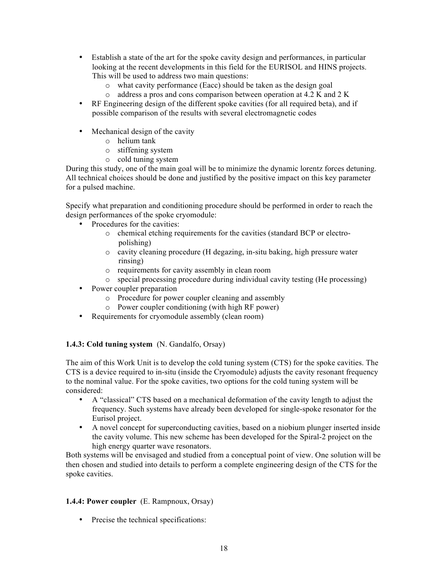- Establish a state of the art for the spoke cavity design and performances, in particular looking at the recent developments in this field for the EURISOL and HINS projects. This will be used to address two main questions:
	- o what cavity performance (Eacc) should be taken as the design goal
	- o address a pros and cons comparison between operation at 4.2 K and 2 K
- RF Engineering design of the different spoke cavities (for all required beta), and if possible comparison of the results with several electromagnetic codes
- Mechanical design of the cavity
	- o helium tank
	- o stiffening system
	- o cold tuning system

During this study, one of the main goal will be to minimize the dynamic lorentz forces detuning. All technical choices should be done and justified by the positive impact on this key parameter for a pulsed machine.

Specify what preparation and conditioning procedure should be performed in order to reach the design performances of the spoke cryomodule:

- Procedures for the cavities:
	- o chemical etching requirements for the cavities (standard BCP or electropolishing)
	- o cavity cleaning procedure (H degazing, in-situ baking, high pressure water rinsing)
	- o requirements for cavity assembly in clean room
	- o special processing procedure during individual cavity testing (He processing)
- Power coupler preparation
	- o Procedure for power coupler cleaning and assembly
	- o Power coupler conditioning (with high RF power)
- Requirements for cryomodule assembly (clean room)

# **1.4.3: Cold tuning system** (N. Gandalfo, Orsay)

The aim of this Work Unit is to develop the cold tuning system (CTS) for the spoke cavities. The CTS is a device required to in-situ (inside the Cryomodule) adjusts the cavity resonant frequency to the nominal value. For the spoke cavities, two options for the cold tuning system will be considered:

- A "classical" CTS based on a mechanical deformation of the cavity length to adjust the frequency. Such systems have already been developed for single-spoke resonator for the Eurisol project.
- A novel concept for superconducting cavities, based on a niobium plunger inserted inside the cavity volume. This new scheme has been developed for the Spiral-2 project on the high energy quarter wave resonators.

Both systems will be envisaged and studied from a conceptual point of view. One solution will be then chosen and studied into details to perform a complete engineering design of the CTS for the spoke cavities.

#### **1.4.4: Power coupler** (E. Rampnoux, Orsay)

• Precise the technical specifications: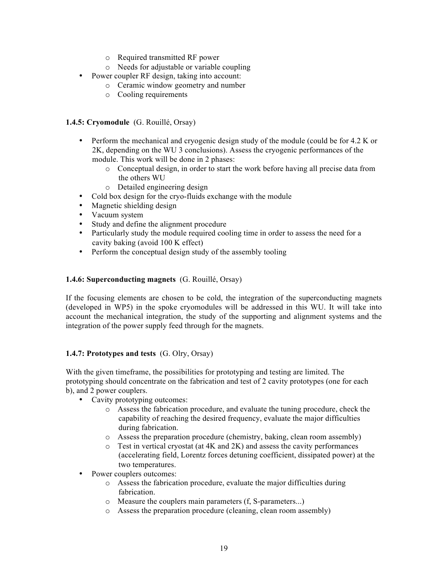- o Required transmitted RF power
- o Needs for adjustable or variable coupling
- Power coupler RF design, taking into account:
	- o Ceramic window geometry and number
	- o Cooling requirements

#### **1.4.5: Cryomodule** (G. Rouillé, Orsay)

- Perform the mechanical and cryogenic design study of the module (could be for 4.2 K or 2K, depending on the WU 3 conclusions). Assess the cryogenic performances of the module. This work will be done in 2 phases:
	- o Conceptual design, in order to start the work before having all precise data from the others WU
	- o Detailed engineering design
- Cold box design for the cryo-fluids exchange with the module
- Magnetic shielding design
- Vacuum system
- Study and define the alignment procedure
- Particularly study the module required cooling time in order to assess the need for a cavity baking (avoid 100 K effect)
- Perform the conceptual design study of the assembly tooling

### **1.4.6: Superconducting magnets** (G. Rouillé, Orsay)

If the focusing elements are chosen to be cold, the integration of the superconducting magnets (developed in WP5) in the spoke cryomodules will be addressed in this WU. It will take into account the mechanical integration, the study of the supporting and alignment systems and the integration of the power supply feed through for the magnets.

#### **1.4.7: Prototypes and tests** (G. Olry, Orsay)

With the given timeframe, the possibilities for prototyping and testing are limited. The prototyping should concentrate on the fabrication and test of 2 cavity prototypes (one for each b), and 2 power couplers.

- Cavity prototyping outcomes:
	- o Assess the fabrication procedure, and evaluate the tuning procedure, check the capability of reaching the desired frequency, evaluate the major difficulties during fabrication.
	- o Assess the preparation procedure (chemistry, baking, clean room assembly)
	- o Test in vertical cryostat (at 4K and 2K) and assess the cavity performances (accelerating field, Lorentz forces detuning coefficient, dissipated power) at the two temperatures.
- Power couplers outcomes:
	- o Assess the fabrication procedure, evaluate the major difficulties during fabrication.
	- o Measure the couplers main parameters (f, S-parameters...)
	- o Assess the preparation procedure (cleaning, clean room assembly)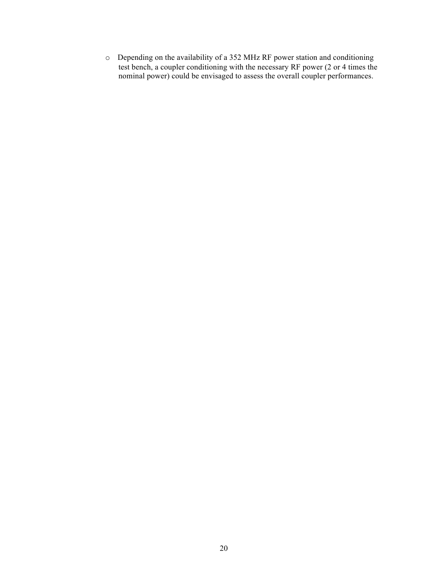o Depending on the availability of a 352 MHz RF power station and conditioning test bench, a coupler conditioning with the necessary RF power (2 or 4 times the nominal power) could be envisaged to assess the overall coupler performances.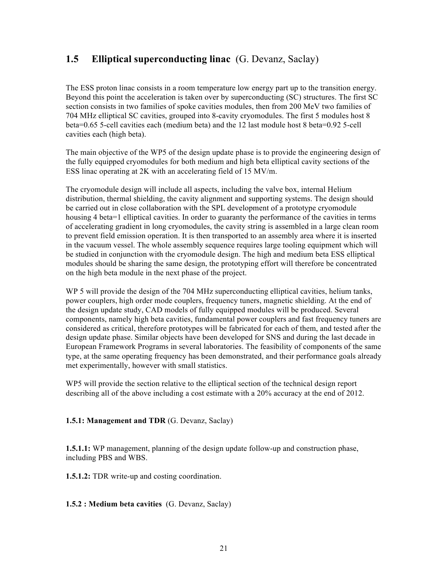# **1.5 Elliptical superconducting linac** (G. Devanz, Saclay)

The ESS proton linac consists in a room temperature low energy part up to the transition energy. Beyond this point the acceleration is taken over by superconducting (SC) structures. The first SC section consists in two families of spoke cavities modules, then from 200 MeV two families of 704 MHz elliptical SC cavities, grouped into 8-cavity cryomodules. The first 5 modules host 8 beta=0.65 5-cell cavities each (medium beta) and the 12 last module host 8 beta=0.92 5-cell cavities each (high beta).

The main objective of the WP5 of the design update phase is to provide the engineering design of the fully equipped cryomodules for both medium and high beta elliptical cavity sections of the ESS linac operating at 2K with an accelerating field of 15 MV/m.

The cryomodule design will include all aspects, including the valve box, internal Helium distribution, thermal shielding, the cavity alignment and supporting systems. The design should be carried out in close collaboration with the SPL development of a prototype cryomodule housing 4 beta=1 elliptical cavities. In order to guaranty the performance of the cavities in terms of accelerating gradient in long cryomodules, the cavity string is assembled in a large clean room to prevent field emission operation. It is then transported to an assembly area where it is inserted in the vacuum vessel. The whole assembly sequence requires large tooling equipment which will be studied in conjunction with the cryomodule design. The high and medium beta ESS elliptical modules should be sharing the same design, the prototyping effort will therefore be concentrated on the high beta module in the next phase of the project.

WP 5 will provide the design of the 704 MHz superconducting elliptical cavities, helium tanks, power couplers, high order mode couplers, frequency tuners, magnetic shielding. At the end of the design update study, CAD models of fully equipped modules will be produced. Several components, namely high beta cavities, fundamental power couplers and fast frequency tuners are considered as critical, therefore prototypes will be fabricated for each of them, and tested after the design update phase. Similar objects have been developed for SNS and during the last decade in European Framework Programs in several laboratories. The feasibility of components of the same type, at the same operating frequency has been demonstrated, and their performance goals already met experimentally, however with small statistics.

WP5 will provide the section relative to the elliptical section of the technical design report describing all of the above including a cost estimate with a 20% accuracy at the end of 2012.

# **1.5.1: Management and TDR** (G. Devanz, Saclay)

**1.5.1.1:** WP management, planning of the design update follow-up and construction phase, including PBS and WBS.

**1.5.1.2:** TDR write-up and costing coordination.

**1.5.2 : Medium beta cavities** (G. Devanz, Saclay)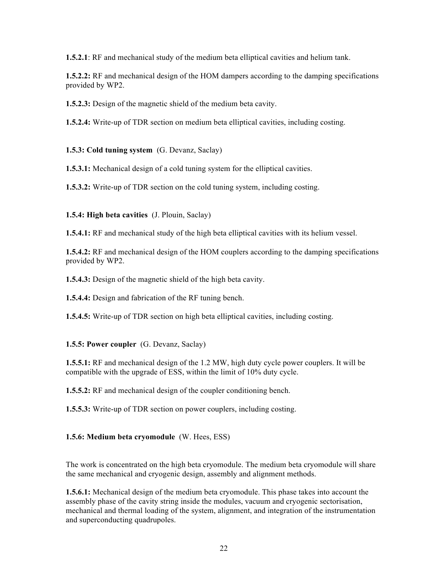**1.5.2.1**: RF and mechanical study of the medium beta elliptical cavities and helium tank.

**1.5.2.2:** RF and mechanical design of the HOM dampers according to the damping specifications provided by WP2.

**1.5.2.3:** Design of the magnetic shield of the medium beta cavity.

**1.5.2.4:** Write-up of TDR section on medium beta elliptical cavities, including costing.

**1.5.3: Cold tuning system** (G. Devanz, Saclay)

**1.5.3.1:** Mechanical design of a cold tuning system for the elliptical cavities.

**1.5.3.2:** Write-up of TDR section on the cold tuning system, including costing.

### **1.5.4: High beta cavities** (J. Plouin, Saclay)

**1.5.4.1:** RF and mechanical study of the high beta elliptical cavities with its helium vessel.

**1.5.4.2:** RF and mechanical design of the HOM couplers according to the damping specifications provided by WP2.

**1.5.4.3:** Design of the magnetic shield of the high beta cavity.

**1.5.4.4:** Design and fabrication of the RF tuning bench.

**1.5.4.5:** Write-up of TDR section on high beta elliptical cavities, including costing.

# **1.5.5: Power coupler** (G. Devanz, Saclay)

**1.5.5.1:** RF and mechanical design of the 1.2 MW, high duty cycle power couplers. It will be compatible with the upgrade of ESS, within the limit of 10% duty cycle.

**1.5.5.2:** RF and mechanical design of the coupler conditioning bench.

**1.5.5.3:** Write-up of TDR section on power couplers, including costing.

# **1.5.6: Medium beta cryomodule** (W. Hees, ESS)

The work is concentrated on the high beta cryomodule. The medium beta cryomodule will share the same mechanical and cryogenic design, assembly and alignment methods.

**1.5.6.1:** Mechanical design of the medium beta cryomodule. This phase takes into account the assembly phase of the cavity string inside the modules, vacuum and cryogenic sectorisation, mechanical and thermal loading of the system, alignment, and integration of the instrumentation and superconducting quadrupoles.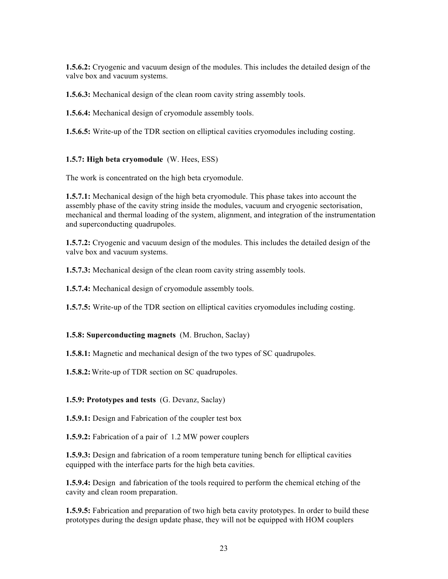**1.5.6.2:** Cryogenic and vacuum design of the modules. This includes the detailed design of the valve box and vacuum systems.

**1.5.6.3:** Mechanical design of the clean room cavity string assembly tools.

**1.5.6.4:** Mechanical design of cryomodule assembly tools.

**1.5.6.5:** Write-up of the TDR section on elliptical cavities cryomodules including costing.

#### **1.5.7: High beta cryomodule** (W. Hees, ESS)

The work is concentrated on the high beta cryomodule.

**1.5.7.1:** Mechanical design of the high beta cryomodule. This phase takes into account the assembly phase of the cavity string inside the modules, vacuum and cryogenic sectorisation, mechanical and thermal loading of the system, alignment, and integration of the instrumentation and superconducting quadrupoles.

**1.5.7.2:** Cryogenic and vacuum design of the modules. This includes the detailed design of the valve box and vacuum systems.

**1.5.7.3:** Mechanical design of the clean room cavity string assembly tools.

**1.5.7.4:** Mechanical design of cryomodule assembly tools.

**1.5.7.5:** Write-up of the TDR section on elliptical cavities cryomodules including costing.

#### **1.5.8: Superconducting magnets** (M. Bruchon, Saclay)

**1.5.8.1:** Magnetic and mechanical design of the two types of SC quadrupoles.

**1.5.8.2:**Write-up of TDR section on SC quadrupoles.

#### **1.5.9: Prototypes and tests** (G. Devanz, Saclay)

**1.5.9.1:** Design and Fabrication of the coupler test box

**1.5.9.2:** Fabrication of a pair of 1.2 MW power couplers

**1.5.9.3:** Design and fabrication of a room temperature tuning bench for elliptical cavities equipped with the interface parts for the high beta cavities.

**1.5.9.4:** Design and fabrication of the tools required to perform the chemical etching of the cavity and clean room preparation.

**1.5.9.5:** Fabrication and preparation of two high beta cavity prototypes. In order to build these prototypes during the design update phase, they will not be equipped with HOM couplers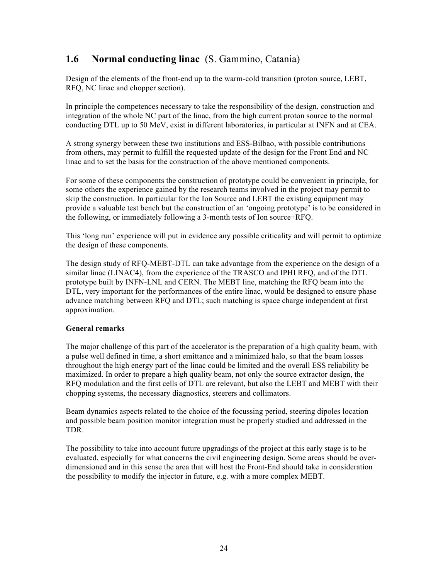# **1.6 Normal conducting linac** (S. Gammino, Catania)

Design of the elements of the front-end up to the warm-cold transition (proton source, LEBT, RFQ, NC linac and chopper section).

In principle the competences necessary to take the responsibility of the design, construction and integration of the whole NC part of the linac, from the high current proton source to the normal conducting DTL up to 50 MeV, exist in different laboratories, in particular at INFN and at CEA.

A strong synergy between these two institutions and ESS-Bilbao, with possible contributions from others, may permit to fulfill the requested update of the design for the Front End and NC linac and to set the basis for the construction of the above mentioned components.

For some of these components the construction of prototype could be convenient in principle, for some others the experience gained by the research teams involved in the project may permit to skip the construction. In particular for the Ion Source and LEBT the existing equipment may provide a valuable test bench but the construction of an 'ongoing prototype' is to be considered in the following, or immediately following a 3-month tests of Ion source+RFQ.

This 'long run' experience will put in evidence any possible criticality and will permit to optimize the design of these components.

The design study of RFQ-MEBT-DTL can take advantage from the experience on the design of a similar linac (LINAC4), from the experience of the TRASCO and IPHI RFQ, and of the DTL prototype built by INFN-LNL and CERN. The MEBT line, matching the RFQ beam into the DTL, very important for the performances of the entire linac, would be designed to ensure phase advance matching between RFQ and DTL; such matching is space charge independent at first approximation.

#### **General remarks**

The major challenge of this part of the accelerator is the preparation of a high quality beam, with a pulse well defined in time, a short emittance and a minimized halo, so that the beam losses throughout the high energy part of the linac could be limited and the overall ESS reliability be maximized. In order to prepare a high quality beam, not only the source extractor design, the RFQ modulation and the first cells of DTL are relevant, but also the LEBT and MEBT with their chopping systems, the necessary diagnostics, steerers and collimators.

Beam dynamics aspects related to the choice of the focussing period, steering dipoles location and possible beam position monitor integration must be properly studied and addressed in the TDR.

The possibility to take into account future upgradings of the project at this early stage is to be evaluated, especially for what concerns the civil engineering design. Some areas should be overdimensioned and in this sense the area that will host the Front-End should take in consideration the possibility to modify the injector in future, e.g. with a more complex MEBT.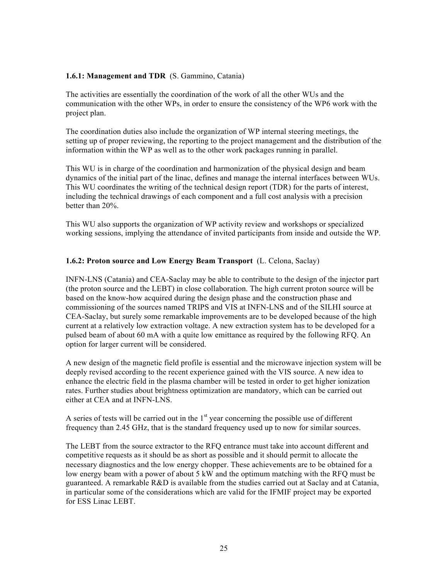#### **1.6.1: Management and TDR** (S. Gammino, Catania)

The activities are essentially the coordination of the work of all the other WUs and the communication with the other WPs, in order to ensure the consistency of the WP6 work with the project plan.

The coordination duties also include the organization of WP internal steering meetings, the setting up of proper reviewing, the reporting to the project management and the distribution of the information within the WP as well as to the other work packages running in parallel.

This WU is in charge of the coordination and harmonization of the physical design and beam dynamics of the initial part of the linac, defines and manage the internal interfaces between WUs. This WU coordinates the writing of the technical design report (TDR) for the parts of interest, including the technical drawings of each component and a full cost analysis with a precision better than 20%.

This WU also supports the organization of WP activity review and workshops or specialized working sessions, implying the attendance of invited participants from inside and outside the WP.

### **1.6.2: Proton source and Low Energy Beam Transport** (L. Celona, Saclay)

INFN-LNS (Catania) and CEA-Saclay may be able to contribute to the design of the injector part (the proton source and the LEBT) in close collaboration. The high current proton source will be based on the know-how acquired during the design phase and the construction phase and commissioning of the sources named TRIPS and VIS at INFN-LNS and of the SILHI source at CEA-Saclay, but surely some remarkable improvements are to be developed because of the high current at a relatively low extraction voltage. A new extraction system has to be developed for a pulsed beam of about 60 mA with a quite low emittance as required by the following RFQ. An option for larger current will be considered.

A new design of the magnetic field profile is essential and the microwave injection system will be deeply revised according to the recent experience gained with the VIS source. A new idea to enhance the electric field in the plasma chamber will be tested in order to get higher ionization rates. Further studies about brightness optimization are mandatory, which can be carried out either at CEA and at INFN-LNS.

A series of tests will be carried out in the  $1<sup>st</sup>$  year concerning the possible use of different frequency than 2.45 GHz, that is the standard frequency used up to now for similar sources.

The LEBT from the source extractor to the RFQ entrance must take into account different and competitive requests as it should be as short as possible and it should permit to allocate the necessary diagnostics and the low energy chopper. These achievements are to be obtained for a low energy beam with a power of about 5 kW and the optimum matching with the RFQ must be guaranteed. A remarkable R&D is available from the studies carried out at Saclay and at Catania, in particular some of the considerations which are valid for the IFMIF project may be exported for ESS Linac LEBT.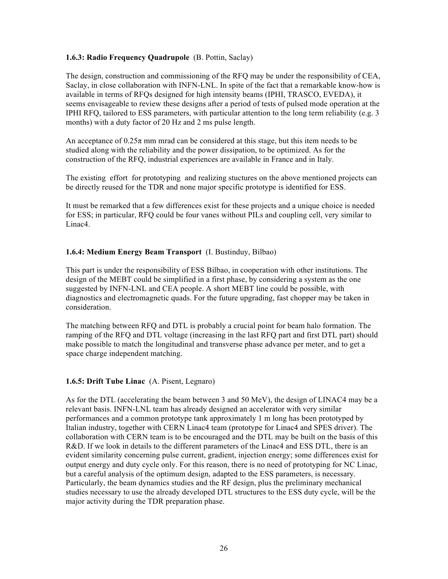#### **1.6.3: Radio Frequency Quadrupole** (B. Pottin, Saclay)

The design, construction and commissioning of the RFQ may be under the responsibility of CEA, Saclay, in close collaboration with INFN-LNL. In spite of the fact that a remarkable know-how is available in terms of RFQs designed for high intensity beams (IPHI, TRASCO, EVEDA), it seems envisageable to review these designs after a period of tests of pulsed mode operation at the IPHI RFQ, tailored to ESS parameters, with particular attention to the long term reliability (e.g. 3 months) with a duty factor of 20 Hz and 2 ms pulse length.

An acceptance of  $0.25\pi$  mm mrad can be considered at this stage, but this item needs to be studied along with the reliability and the power dissipation, to be optimized. As for the construction of the RFQ, industrial experiences are available in France and in Italy.

The existing effort for prototyping and realizing stuctures on the above mentioned projects can be directly reused for the TDR and none major specific prototype is identified for ESS.

It must be remarked that a few differences exist for these projects and a unique choice is needed for ESS; in particular, RFQ could be four vanes without PILs and coupling cell, very similar to Linac4.

### **1.6.4: Medium Energy Beam Transport** (I. Bustinduy, Bilbao)

This part is under the responsibility of ESS Bilbao, in cooperation with other institutions. The design of the MEBT could be simplified in a first phase, by considering a system as the one suggested by INFN-LNL and CEA people. A short MEBT line could be possible, with diagnostics and electromagnetic quads. For the future upgrading, fast chopper may be taken in consideration.

The matching between RFQ and DTL is probably a crucial point for beam halo formation. The ramping of the RFQ and DTL voltage (increasing in the last RFQ part and first DTL part) should make possible to match the longitudinal and transverse phase advance per meter, and to get a space charge independent matching.

#### **1.6.5: Drift Tube Linac** (A. Pisent, Legnaro)

As for the DTL (accelerating the beam between 3 and 50 MeV), the design of LINAC4 may be a relevant basis. INFN-LNL team has already designed an accelerator with very similar performances and a common prototype tank approximately 1 m long has been prototyped by Italian industry, together with CERN Linac4 team (prototype for Linac4 and SPES driver). The collaboration with CERN team is to be encouraged and the DTL may be built on the basis of this R&D. If we look in details to the different parameters of the Linac4 and ESS DTL, there is an evident similarity concerning pulse current, gradient, injection energy; some differences exist for output energy and duty cycle only. For this reason, there is no need of prototyping for NC Linac, but a careful analysis of the optimum design, adapted to the ESS parameters, is necessary. Particularly, the beam dynamics studies and the RF design, plus the preliminary mechanical studies necessary to use the already developed DTL structures to the ESS duty cycle, will be the major activity during the TDR preparation phase.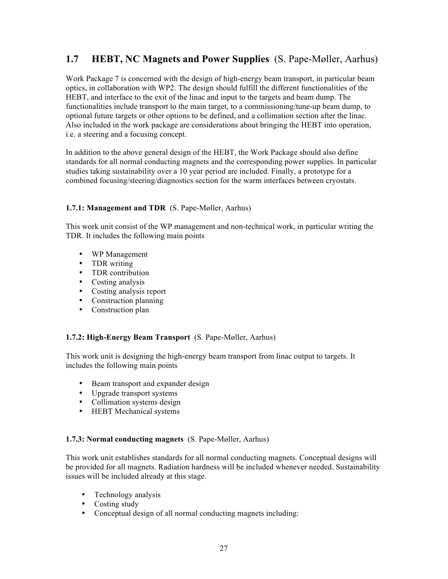# **1.7 HEBT, NC Magnets and Power Supplies** (S. Pape-Møller, Aarhus)

Work Package 7 is concerned with the design of high-energy beam transport, in particular beam optics, in collaboration with WP2. The design should fulfill the different functionalities of the HEBT, and interface to the exit of the linac and input to the targets and beam dump. The functionalities include transport to the main target, to a commissioning/tune-up beam dump, to optional future targets or other options to be defined, and a collimation section after the linac. Also included in the work package are considerations about bringing the HEBT into operation, i.e. a steering and a focusing concept.

In addition to the above general design of the HEBT, the Work Package should also define standards for all normal conducting magnets and the corresponding power supplies. In particular studies taking sustainability over a 10 year period are included. Finally, a prototype for a combined focusing/steering/diagnostics section for the warm interfaces between cryostats.

# **1.7.1: Management and TDR** (S. Pape-Møller, Aarhus)

This work unit consist of the WP management and non-technical work, in particular writing the TDR. It includes the following main points

- WP Management
- TDR writing
- TDR contribution
- Costing analysis
- Costing analysis report
- Construction planning
- Construction plan

#### **1.7.2: High-Energy Beam Transport** (S. Pape-Møller, Aarhus)

This work unit is designing the high-energy beam transport from linac output to targets. It includes the following main points

- Beam transport and expander design
- Upgrade transport systems
- Collimation systems design
- HEBT Mechanical systems

#### **1.7.3: Normal conducting magnets** (S. Pape-Møller, Aarhus)

This work unit establishes standards for all normal conducting magnets. Conceptual designs will be provided for all magnets. Radiation hardness will be included whenever needed. Sustainability issues will be included already at this stage.

- Technology analysis
- Costing study<br>• Concentual de
- Conceptual design of all normal conducting magnets including: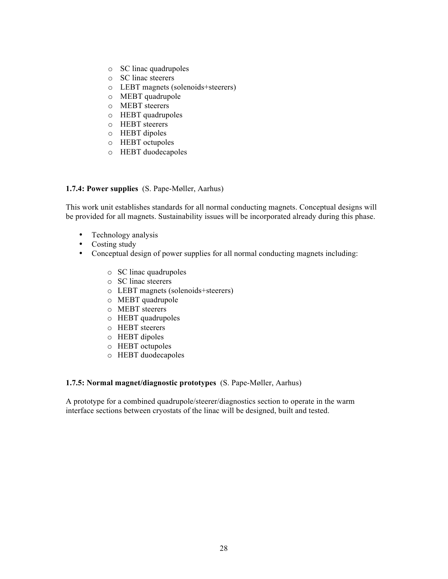- o SC linac quadrupoles
- o SC linac steerers
- o LEBT magnets (solenoids+steerers)
- o MEBT quadrupole
- o MEBT steerers
- o HEBT quadrupoles
- o HEBT steerers
- o HEBT dipoles
- o HEBT octupoles
- o HEBT duodecapoles

#### **1.7.4: Power supplies** (S. Pape-Møller, Aarhus)

This work unit establishes standards for all normal conducting magnets. Conceptual designs will be provided for all magnets. Sustainability issues will be incorporated already during this phase.

- Technology analysis
- Costing study
- Conceptual design of power supplies for all normal conducting magnets including:
	- o SC linac quadrupoles
	- o SC linac steerers
	- o LEBT magnets (solenoids+steerers)
	- o MEBT quadrupole
	- o MEBT steerers
	- o HEBT quadrupoles
	- o HEBT steerers
	- o HEBT dipoles
	- o HEBT octupoles
	- o HEBT duodecapoles

#### **1.7.5: Normal magnet/diagnostic prototypes** (S. Pape-Møller, Aarhus)

A prototype for a combined quadrupole/steerer/diagnostics section to operate in the warm interface sections between cryostats of the linac will be designed, built and tested.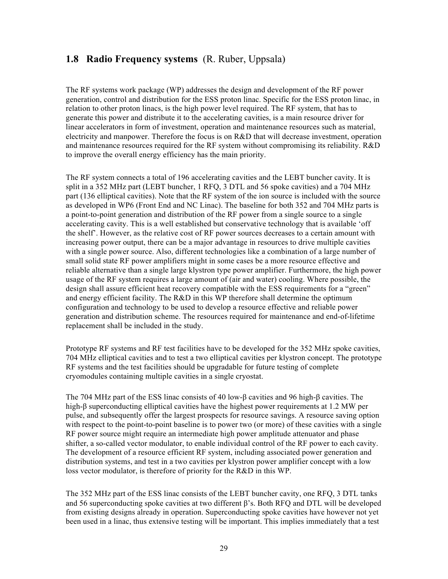# **1.8 Radio Frequency systems** (R. Ruber, Uppsala)

The RF systems work package (WP) addresses the design and development of the RF power generation, control and distribution for the ESS proton linac. Specific for the ESS proton linac, in relation to other proton linacs, is the high power level required. The RF system, that has to generate this power and distribute it to the accelerating cavities, is a main resource driver for linear accelerators in form of investment, operation and maintenance resources such as material, electricity and manpower. Therefore the focus is on R&D that will decrease investment, operation and maintenance resources required for the RF system without compromising its reliability. R&D to improve the overall energy efficiency has the main priority.

The RF system connects a total of 196 accelerating cavities and the LEBT buncher cavity. It is split in a 352 MHz part (LEBT buncher, 1 RFQ, 3 DTL and 56 spoke cavities) and a 704 MHz part (136 elliptical cavities). Note that the RF system of the ion source is included with the source as developed in WP6 (Front End and NC Linac). The baseline for both 352 and 704 MHz parts is a point-to-point generation and distribution of the RF power from a single source to a single accelerating cavity. This is a well established but conservative technology that is available 'off the shelf'. However, as the relative cost of RF power sources decreases to a certain amount with increasing power output, there can be a major advantage in resources to drive multiple cavities with a single power source. Also, different technologies like a combination of a large number of small solid state RF power amplifiers might in some cases be a more resource effective and reliable alternative than a single large klystron type power amplifier. Furthermore, the high power usage of the RF system requires a large amount of (air and water) cooling. Where possible, the design shall assure efficient heat recovery compatible with the ESS requirements for a "green" and energy efficient facility. The R&D in this WP therefore shall determine the optimum configuration and technology to be used to develop a resource effective and reliable power generation and distribution scheme. The resources required for maintenance and end-of-lifetime replacement shall be included in the study.

Prototype RF systems and RF test facilities have to be developed for the 352 MHz spoke cavities, 704 MHz elliptical cavities and to test a two elliptical cavities per klystron concept. The prototype RF systems and the test facilities should be upgradable for future testing of complete cryomodules containing multiple cavities in a single cryostat.

The 704 MHz part of the ESS linac consists of 40 low-β cavities and 96 high-β cavities. The high-β superconducting elliptical cavities have the highest power requirements at 1.2 MW per pulse, and subsequently offer the largest prospects for resource savings. A resource saving option with respect to the point-to-point baseline is to power two (or more) of these cavities with a single RF power source might require an intermediate high power amplitude attenuator and phase shifter, a so-called vector modulator, to enable individual control of the RF power to each cavity. The development of a resource efficient RF system, including associated power generation and distribution systems, and test in a two cavities per klystron power amplifier concept with a low loss vector modulator, is therefore of priority for the R&D in this WP.

The 352 MHz part of the ESS linac consists of the LEBT buncher cavity, one RFQ, 3 DTL tanks and 56 superconducting spoke cavities at two different β's. Both RFQ and DTL will be developed from existing designs already in operation. Superconducting spoke cavities have however not yet been used in a linac, thus extensive testing will be important. This implies immediately that a test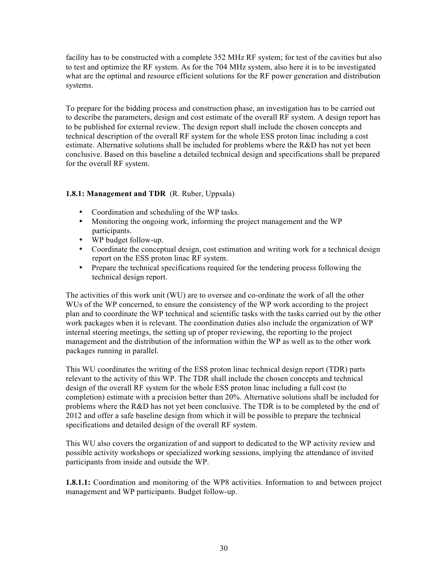facility has to be constructed with a complete 352 MHz RF system; for test of the cavities but also to test and optimize the RF system. As for the 704 MHz system, also here it is to be investigated what are the optimal and resource efficient solutions for the RF power generation and distribution systems.

To prepare for the bidding process and construction phase, an investigation has to be carried out to describe the parameters, design and cost estimate of the overall RF system. A design report has to be published for external review. The design report shall include the chosen concepts and technical description of the overall RF system for the whole ESS proton linac including a cost estimate. Alternative solutions shall be included for problems where the R&D has not yet been conclusive. Based on this baseline a detailed technical design and specifications shall be prepared for the overall RF system.

### **1.8.1: Management and TDR** (R. Ruber, Uppsala)

- Coordination and scheduling of the WP tasks.
- Monitoring the ongoing work, informing the project management and the WP participants.
- WP budget follow-up.
- Coordinate the conceptual design, cost estimation and writing work for a technical design report on the ESS proton linac RF system.
- Prepare the technical specifications required for the tendering process following the technical design report.

The activities of this work unit (WU) are to oversee and co-ordinate the work of all the other WUs of the WP concerned, to ensure the consistency of the WP work according to the project plan and to coordinate the WP technical and scientific tasks with the tasks carried out by the other work packages when it is relevant. The coordination duties also include the organization of WP internal steering meetings, the setting up of proper reviewing, the reporting to the project management and the distribution of the information within the WP as well as to the other work packages running in parallel.

This WU coordinates the writing of the ESS proton linac technical design report (TDR) parts relevant to the activity of this WP. The TDR shall include the chosen concepts and technical design of the overall RF system for the whole ESS proton linac including a full cost (to completion) estimate with a precision better than 20%. Alternative solutions shall be included for problems where the R&D has not yet been conclusive. The TDR is to be completed by the end of 2012 and offer a safe baseline design from which it will be possible to prepare the technical specifications and detailed design of the overall RF system.

This WU also covers the organization of and support to dedicated to the WP activity review and possible activity workshops or specialized working sessions, implying the attendance of invited participants from inside and outside the WP.

**1.8.1.1:** Coordination and monitoring of the WP8 activities. Information to and between project management and WP participants. Budget follow-up.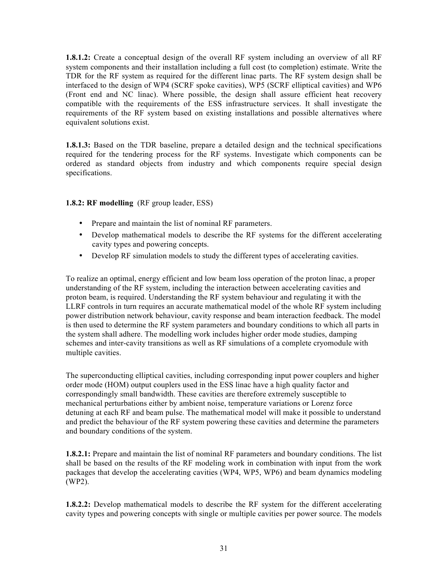**1.8.1.2:** Create a conceptual design of the overall RF system including an overview of all RF system components and their installation including a full cost (to completion) estimate. Write the TDR for the RF system as required for the different linac parts. The RF system design shall be interfaced to the design of WP4 (SCRF spoke cavities), WP5 (SCRF elliptical cavities) and WP6 (Front end and NC linac). Where possible, the design shall assure efficient heat recovery compatible with the requirements of the ESS infrastructure services. It shall investigate the requirements of the RF system based on existing installations and possible alternatives where equivalent solutions exist.

**1.8.1.3:** Based on the TDR baseline, prepare a detailed design and the technical specifications required for the tendering process for the RF systems. Investigate which components can be ordered as standard objects from industry and which components require special design specifications.

### **1.8.2: RF modelling** (RF group leader, ESS)

- Prepare and maintain the list of nominal RF parameters.
- Develop mathematical models to describe the RF systems for the different accelerating cavity types and powering concepts.
- Develop RF simulation models to study the different types of accelerating cavities.

To realize an optimal, energy efficient and low beam loss operation of the proton linac, a proper understanding of the RF system, including the interaction between accelerating cavities and proton beam, is required. Understanding the RF system behaviour and regulating it with the LLRF controls in turn requires an accurate mathematical model of the whole RF system including power distribution network behaviour, cavity response and beam interaction feedback. The model is then used to determine the RF system parameters and boundary conditions to which all parts in the system shall adhere. The modelling work includes higher order mode studies, damping schemes and inter-cavity transitions as well as RF simulations of a complete cryomodule with multiple cavities.

The superconducting elliptical cavities, including corresponding input power couplers and higher order mode (HOM) output couplers used in the ESS linac have a high quality factor and correspondingly small bandwidth. These cavities are therefore extremely susceptible to mechanical perturbations either by ambient noise, temperature variations or Lorenz force detuning at each RF and beam pulse. The mathematical model will make it possible to understand and predict the behaviour of the RF system powering these cavities and determine the parameters and boundary conditions of the system.

**1.8.2.1:** Prepare and maintain the list of nominal RF parameters and boundary conditions. The list shall be based on the results of the RF modeling work in combination with input from the work packages that develop the accelerating cavities (WP4, WP5, WP6) and beam dynamics modeling (WP2).

**1.8.2.2:** Develop mathematical models to describe the RF system for the different accelerating cavity types and powering concepts with single or multiple cavities per power source. The models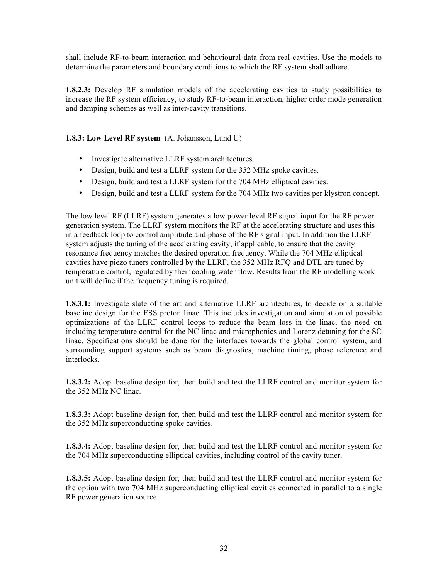shall include RF-to-beam interaction and behavioural data from real cavities. Use the models to determine the parameters and boundary conditions to which the RF system shall adhere.

**1.8.2.3:** Develop RF simulation models of the accelerating cavities to study possibilities to increase the RF system efficiency, to study RF-to-beam interaction, higher order mode generation and damping schemes as well as inter-cavity transitions.

### **1.8.3: Low Level RF system** (A. Johansson, Lund U)

- Investigate alternative LLRF system architectures.
- Design, build and test a LLRF system for the 352 MHz spoke cavities.
- Design, build and test a LLRF system for the 704 MHz elliptical cavities.
- Design, build and test a LLRF system for the 704 MHz two cavities per klystron concept.

The low level RF (LLRF) system generates a low power level RF signal input for the RF power generation system. The LLRF system monitors the RF at the accelerating structure and uses this in a feedback loop to control amplitude and phase of the RF signal input. In addition the LLRF system adjusts the tuning of the accelerating cavity, if applicable, to ensure that the cavity resonance frequency matches the desired operation frequency. While the 704 MHz elliptical cavities have piezo tuners controlled by the LLRF, the 352 MHz RFQ and DTL are tuned by temperature control, regulated by their cooling water flow. Results from the RF modelling work unit will define if the frequency tuning is required.

**1.8.3.1:** Investigate state of the art and alternative LLRF architectures, to decide on a suitable baseline design for the ESS proton linac. This includes investigation and simulation of possible optimizations of the LLRF control loops to reduce the beam loss in the linac, the need on including temperature control for the NC linac and microphonics and Lorenz detuning for the SC linac. Specifications should be done for the interfaces towards the global control system, and surrounding support systems such as beam diagnostics, machine timing, phase reference and interlocks.

**1.8.3.2:** Adopt baseline design for, then build and test the LLRF control and monitor system for the 352 MHz NC linac.

**1.8.3.3:** Adopt baseline design for, then build and test the LLRF control and monitor system for the 352 MHz superconducting spoke cavities.

**1.8.3.4:** Adopt baseline design for, then build and test the LLRF control and monitor system for the 704 MHz superconducting elliptical cavities, including control of the cavity tuner.

**1.8.3.5:** Adopt baseline design for, then build and test the LLRF control and monitor system for the option with two 704 MHz superconducting elliptical cavities connected in parallel to a single RF power generation source.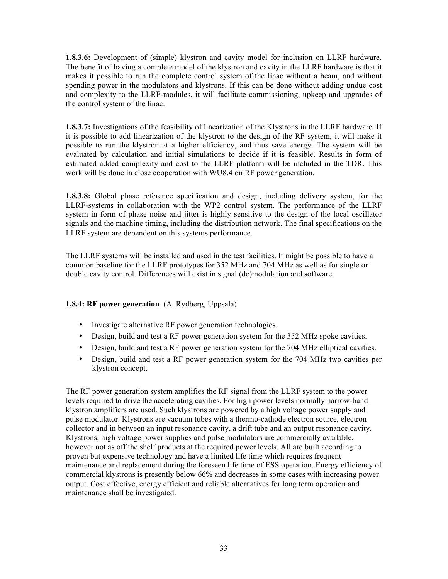**1.8.3.6:** Development of (simple) klystron and cavity model for inclusion on LLRF hardware. The benefit of having a complete model of the klystron and cavity in the LLRF hardware is that it makes it possible to run the complete control system of the linac without a beam, and without spending power in the modulators and klystrons. If this can be done without adding undue cost and complexity to the LLRF-modules, it will facilitate commissioning, upkeep and upgrades of the control system of the linac.

**1.8.3.7:** Investigations of the feasibility of linearization of the Klystrons in the LLRF hardware. If it is possible to add linearization of the klystron to the design of the RF system, it will make it possible to run the klystron at a higher efficiency, and thus save energy. The system will be evaluated by calculation and initial simulations to decide if it is feasible. Results in form of estimated added complexity and cost to the LLRF platform will be included in the TDR. This work will be done in close cooperation with WU8.4 on RF power generation.

**1.8.3.8:** Global phase reference specification and design, including delivery system, for the LLRF-systems in collaboration with the WP2 control system. The performance of the LLRF system in form of phase noise and jitter is highly sensitive to the design of the local oscillator signals and the machine timing, including the distribution network. The final specifications on the LLRF system are dependent on this systems performance.

The LLRF systems will be installed and used in the test facilities. It might be possible to have a common baseline for the LLRF prototypes for 352 MHz and 704 MHz as well as for single or double cavity control. Differences will exist in signal (de)modulation and software.

# **1.8.4: RF power generation** (A. Rydberg, Uppsala)

- Investigate alternative RF power generation technologies.
- Design, build and test a RF power generation system for the 352 MHz spoke cavities.
- Design, build and test a RF power generation system for the 704 MHz elliptical cavities.
- Design, build and test a RF power generation system for the 704 MHz two cavities per klystron concept.

The RF power generation system amplifies the RF signal from the LLRF system to the power levels required to drive the accelerating cavities. For high power levels normally narrow-band klystron amplifiers are used. Such klystrons are powered by a high voltage power supply and pulse modulator. Klystrons are vacuum tubes with a thermo-cathode electron source, electron collector and in between an input resonance cavity, a drift tube and an output resonance cavity. Klystrons, high voltage power supplies and pulse modulators are commercially available, however not as off the shelf products at the required power levels. All are built according to proven but expensive technology and have a limited life time which requires frequent maintenance and replacement during the foreseen life time of ESS operation. Energy efficiency of commercial klystrons is presently below 66% and decreases in some cases with increasing power output. Cost effective, energy efficient and reliable alternatives for long term operation and maintenance shall be investigated.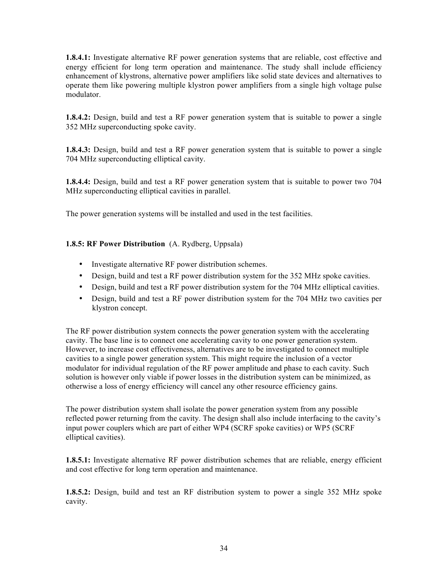**1.8.4.1:** Investigate alternative RF power generation systems that are reliable, cost effective and energy efficient for long term operation and maintenance. The study shall include efficiency enhancement of klystrons, alternative power amplifiers like solid state devices and alternatives to operate them like powering multiple klystron power amplifiers from a single high voltage pulse modulator.

**1.8.4.2:** Design, build and test a RF power generation system that is suitable to power a single 352 MHz superconducting spoke cavity.

**1.8.4.3:** Design, build and test a RF power generation system that is suitable to power a single 704 MHz superconducting elliptical cavity.

**1.8.4.4:** Design, build and test a RF power generation system that is suitable to power two 704 MHz superconducting elliptical cavities in parallel.

The power generation systems will be installed and used in the test facilities.

### **1.8.5: RF Power Distribution** (A. Rydberg, Uppsala)

- Investigate alternative RF power distribution schemes.
- Design, build and test a RF power distribution system for the 352 MHz spoke cavities.
- Design, build and test a RF power distribution system for the 704 MHz elliptical cavities.
- Design, build and test a RF power distribution system for the 704 MHz two cavities per klystron concept.

The RF power distribution system connects the power generation system with the accelerating cavity. The base line is to connect one accelerating cavity to one power generation system. However, to increase cost effectiveness, alternatives are to be investigated to connect multiple cavities to a single power generation system. This might require the inclusion of a vector modulator for individual regulation of the RF power amplitude and phase to each cavity. Such solution is however only viable if power losses in the distribution system can be minimized, as otherwise a loss of energy efficiency will cancel any other resource efficiency gains.

The power distribution system shall isolate the power generation system from any possible reflected power returning from the cavity. The design shall also include interfacing to the cavity's input power couplers which are part of either WP4 (SCRF spoke cavities) or WP5 (SCRF elliptical cavities).

**1.8.5.1:** Investigate alternative RF power distribution schemes that are reliable, energy efficient and cost effective for long term operation and maintenance.

**1.8.5.2:** Design, build and test an RF distribution system to power a single 352 MHz spoke cavity.